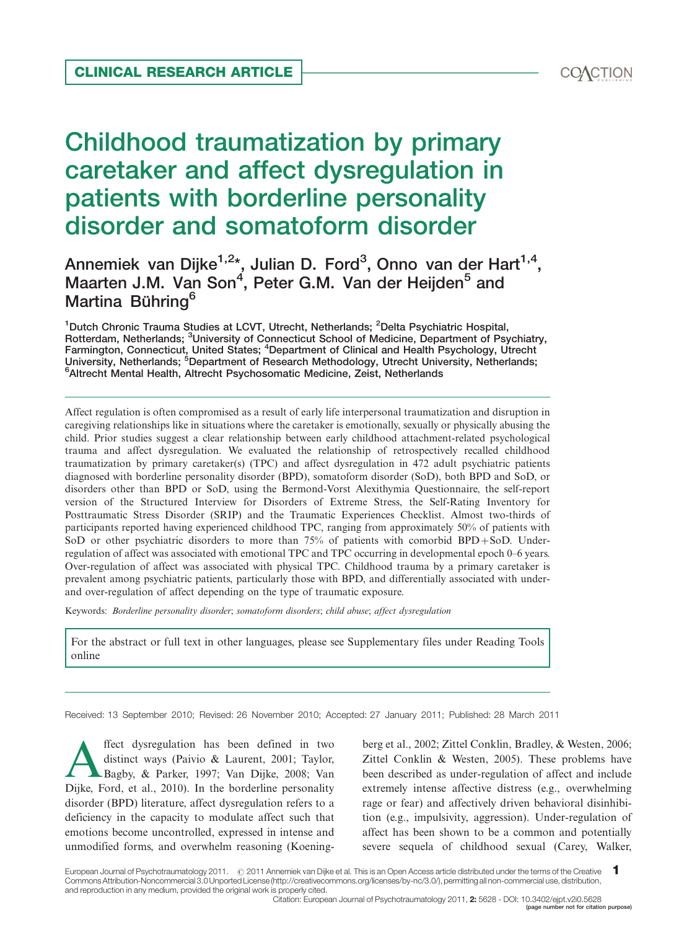# Childhood traumatization by primary caretaker and affect dysregulation in patients with borderline personality disorder and somatoform disorder CLINICAL RESEARCH ARTICLE<br>Childhood traumatization by primary<br>caretaker and affect dysregulation in

Annemiek van Dijke<sup>1,2\*</sup>, Julian D. Ford<sup>3</sup>, Onno van der Hart<sup>1,4</sup>, Maarten J.M. Van Son<sup>4</sup>, Peter G.M. Van der Heijden<sup>5</sup> and Martina Bühring<sup>6</sup>

<sup>1</sup>Dutch Chronic Trauma Studies at LCVT, Utrecht, Netherlands; <sup>2</sup>Delta Psychiatric Hospital, Rotterdam, Netherlands; <sup>3</sup>University of Connecticut School of Medicine, Department of Psychiatry, Farmington, Connecticut, United States; <sup>4</sup>Department of Clinical and Health Psychology, Utrecht University, Netherlands; <sup>5</sup>Department of Research Methodology, Utrecht University, Netherlands;<br><sup>6</sup>Altrecht Mental Health, Altrecht Psychosomatic Medicine, Zeist, Netherlands Altrecht Mental Health, Altrecht Psychosomatic Medicine, Zeist, Netherlands

Affect regulation is often compromised as a result of early life interpersonal traumatization and disruption in caregiving relationships like in situations where the caretaker is emotionally, sexually or physically abusing the child. Prior studies suggest a clear relationship between early childhood attachment-related psychological trauma and affect dysregulation. We evaluated the relationship of retrospectively recalled childhood traumatization by primary caretaker(s) (TPC) and affect dysregulation in 472 adult psychiatric patients diagnosed with borderline personality disorder (BPD), somatoform disorder (SoD), both BPD and SoD, or disorders other than BPD or SoD, using the Bermond-Vorst Alexithymia Questionnaire, the self-report version of the Structured Interview for Disorders of Extreme Stress, the Self-Rating Inventory for Posttraumatic Stress Disorder (SRIP) and the Traumatic Experiences Checklist. Almost two-thirds of participants reported having experienced childhood TPC, ranging from approximately 50% of patients with SoD or other psychiatric disorders to more than  $75\%$  of patients with comorbid BPD+SoD. Underregulation of affect was associated with emotional TPC and TPC occurring in developmental epoch 0–6 years. Over-regulation of affect was associated with physical TPC. Childhood trauma by a primary caretaker is prevalent among psychiatric patients, particularly those with BPD, and differentially associated with underand over-regulation of affect depending on the type of traumatic exposure.

Keywords: Borderline personality disorder; somatoform disorders; child abuse; affect dysregulation

For the abstract or full text in other languages, please see Supplementary files under Reading Tools online

Received: 13 September 2010; Revised: 26 November 2010; Accepted: 27 January 2011; Published: 28 March 2011

ffect dysregulation has been defined in two<br>distinct ways (Paivio & Laurent, 2001; Taylor,<br>Bagby, & Parker, 1997; Van Dijke, 2008; Van<br>Dijke, Eord et al. 2010). In the borderline personality distinct ways (Paivio & Laurent, 2001; Taylor, Bagby, & Parker, 1997; Van Dijke, 2008; Van Dijke, Ford, et al., 2010). In the borderline personality disorder (BPD) literature, affect dysregulation refers to a deficiency in the capacity to modulate affect such that emotions become uncontrolled, expressed in intense and unmodified forms, and overwhelm reasoning (Koeningberg et al., 2002; Zittel Conklin, Bradley, & Westen, 2006; Zittel Conklin & Westen, 2005). These problems have been described as under-regulation of affect and include extremely intense affective distress (e.g., overwhelming rage or fear) and affectively driven behavioral disinhibition (e.g., impulsivity, aggression). Under-regulation of affect has been shown to be a common and potentially severe sequela of childhood sexual (Carey, Walker,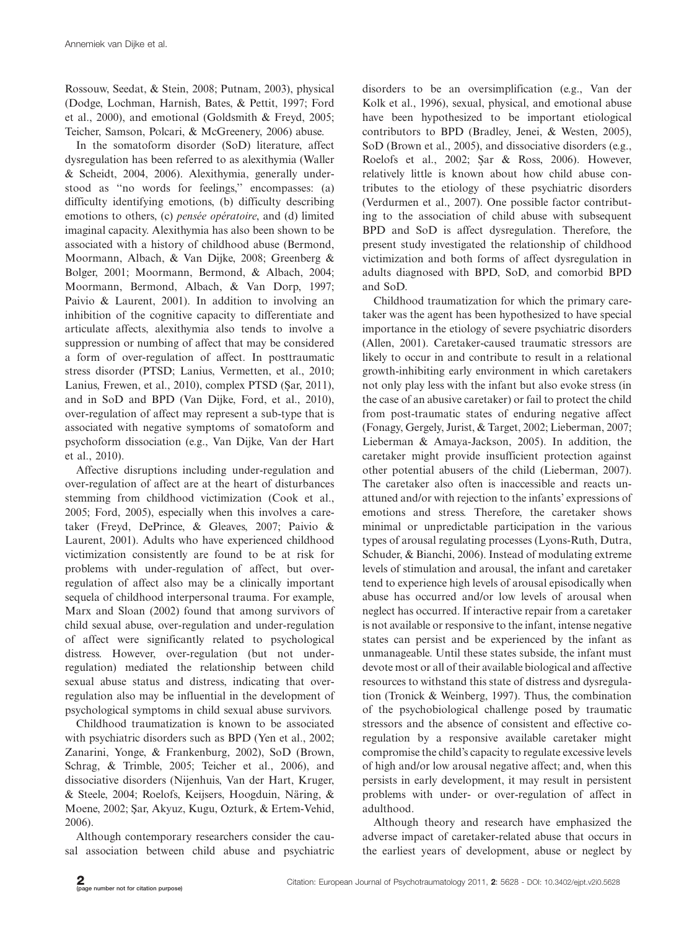Rossouw, Seedat, & Stein, 2008; Putnam, 2003), physical (Dodge, Lochman, Harnish, Bates, & Pettit, 1997; Ford et al., 2000), and emotional (Goldsmith & Freyd, 2005; Teicher, Samson, Polcari, & McGreenery, 2006) abuse.

In the somatoform disorder (SoD) literature, affect dysregulation has been referred to as alexithymia (Waller & Scheidt, 2004, 2006). Alexithymia, generally understood as ''no words for feelings,'' encompasses: (a) difficulty identifying emotions, (b) difficulty describing emotions to others, (c) pensée opératoire, and (d) limited imaginal capacity. Alexithymia has also been shown to be associated with a history of childhood abuse (Bermond, Moormann, Albach, & Van Dijke, 2008; Greenberg & Bolger, 2001; Moormann, Bermond, & Albach, 2004; Moormann, Bermond, Albach, & Van Dorp, 1997; Paivio & Laurent, 2001). In addition to involving an inhibition of the cognitive capacity to differentiate and articulate affects, alexithymia also tends to involve a suppression or numbing of affect that may be considered a form of over-regulation of affect. In posttraumatic stress disorder (PTSD; Lanius, Vermetten, et al., 2010; Lanius, Frewen, et al., 2010), complex PTSD (Sar, 2011), and in SoD and BPD (Van Dijke, Ford, et al., 2010), over-regulation of affect may represent a sub-type that is associated with negative symptoms of somatoform and psychoform dissociation (e.g., Van Dijke, Van der Hart et al., 2010).

Affective disruptions including under-regulation and over-regulation of affect are at the heart of disturbances stemming from childhood victimization (Cook et al., 2005; Ford, 2005), especially when this involves a caretaker (Freyd, DePrince, & Gleaves, 2007; Paivio & Laurent, 2001). Adults who have experienced childhood victimization consistently are found to be at risk for problems with under-regulation of affect, but overregulation of affect also may be a clinically important sequela of childhood interpersonal trauma. For example, Marx and Sloan (2002) found that among survivors of child sexual abuse, over-regulation and under-regulation of affect were significantly related to psychological distress. However, over-regulation (but not underregulation) mediated the relationship between child sexual abuse status and distress, indicating that overregulation also may be influential in the development of psychological symptoms in child sexual abuse survivors.

Childhood traumatization is known to be associated with psychiatric disorders such as BPD (Yen et al., 2002; Zanarini, Yonge, & Frankenburg, 2002), SoD (Brown, Schrag, & Trimble, 2005; Teicher et al., 2006), and dissociative disorders (Nijenhuis, Van der Hart, Kruger, & Steele, 2004; Roelofs, Keijsers, Hoogduin, Näring, & Moene, 2002; Şar, Akyuz, Kugu, Ozturk, & Ertem-Vehid, 2006).

Although contemporary researchers consider the causal association between child abuse and psychiatric disorders to be an oversimplification (e.g., Van der Kolk et al., 1996), sexual, physical, and emotional abuse have been hypothesized to be important etiological contributors to BPD (Bradley, Jenei, & Westen, 2005), SoD (Brown et al., 2005), and dissociative disorders (e.g., Roelofs et al., 2002; Sar & Ross, 2006). However, relatively little is known about how child abuse contributes to the etiology of these psychiatric disorders (Verdurmen et al., 2007). One possible factor contributing to the association of child abuse with subsequent BPD and SoD is affect dysregulation. Therefore, the present study investigated the relationship of childhood victimization and both forms of affect dysregulation in adults diagnosed with BPD, SoD, and comorbid BPD and SoD.

Childhood traumatization for which the primary caretaker was the agent has been hypothesized to have special importance in the etiology of severe psychiatric disorders (Allen, 2001). Caretaker-caused traumatic stressors are likely to occur in and contribute to result in a relational growth-inhibiting early environment in which caretakers not only play less with the infant but also evoke stress (in the case of an abusive caretaker) or fail to protect the child from post-traumatic states of enduring negative affect (Fonagy, Gergely, Jurist, & Target, 2002; Lieberman, 2007; Lieberman & Amaya-Jackson, 2005). In addition, the caretaker might provide insufficient protection against other potential abusers of the child (Lieberman, 2007). The caretaker also often is inaccessible and reacts unattuned and/or with rejection to the infants' expressions of emotions and stress. Therefore, the caretaker shows minimal or unpredictable participation in the various types of arousal regulating processes (Lyons-Ruth, Dutra, Schuder, & Bianchi, 2006). Instead of modulating extreme levels of stimulation and arousal, the infant and caretaker tend to experience high levels of arousal episodically when abuse has occurred and/or low levels of arousal when neglect has occurred. If interactive repair from a caretaker is not available or responsive to the infant, intense negative states can persist and be experienced by the infant as unmanageable. Until these states subside, the infant must devote most or all of their available biological and affective resources to withstand this state of distress and dysregulation (Tronick & Weinberg, 1997). Thus, the combination of the psychobiological challenge posed by traumatic stressors and the absence of consistent and effective coregulation by a responsive available caretaker might compromise the child's capacity to regulate excessive levels of high and/or low arousal negative affect; and, when this persists in early development, it may result in persistent problems with under- or over-regulation of affect in adulthood.

Although theory and research have emphasized the adverse impact of caretaker-related abuse that occurs in the earliest years of development, abuse or neglect by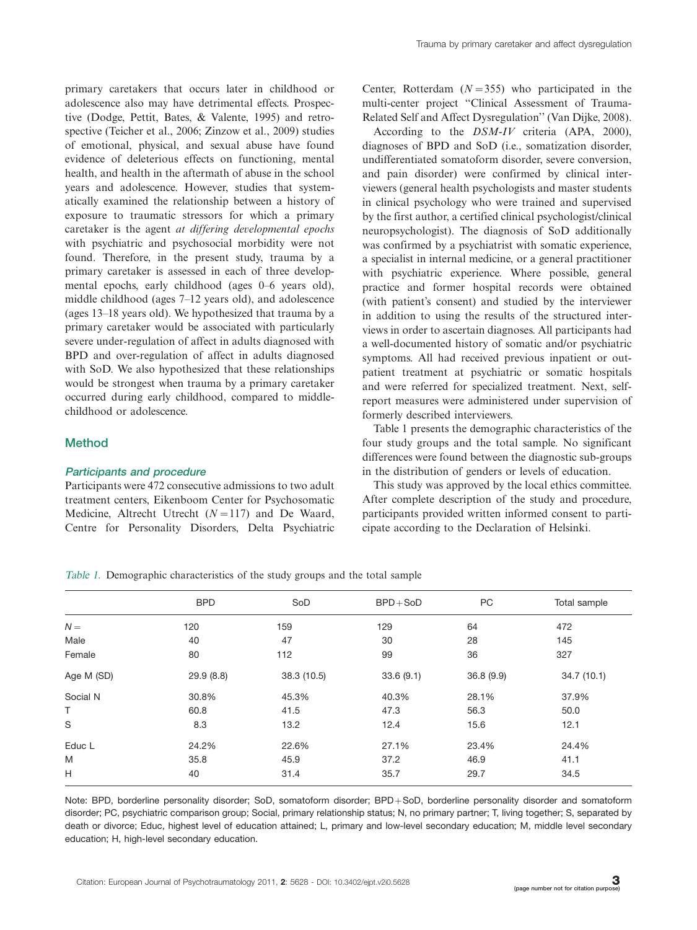primary caretakers that occurs later in childhood or adolescence also may have detrimental effects. Prospective (Dodge, Pettit, Bates, & Valente, 1995) and retrospective (Teicher et al., 2006; Zinzow et al., 2009) studies of emotional, physical, and sexual abuse have found evidence of deleterious effects on functioning, mental health, and health in the aftermath of abuse in the school years and adolescence. However, studies that systematically examined the relationship between a history of exposure to traumatic stressors for which a primary caretaker is the agent at differing developmental epochs with psychiatric and psychosocial morbidity were not found. Therefore, in the present study, trauma by a primary caretaker is assessed in each of three developmental epochs, early childhood (ages 0-6 years old), middle childhood (ages 7-12 years old), and adolescence (ages 13-18 years old). We hypothesized that trauma by a primary caretaker would be associated with particularly severe under-regulation of affect in adults diagnosed with BPD and over-regulation of affect in adults diagnosed with SoD. We also hypothesized that these relationships would be strongest when trauma by a primary caretaker occurred during early childhood, compared to middlechildhood or adolescence.

# Method

## Participants and procedure

Participants were 472 consecutive admissions to two adult treatment centers, Eikenboom Center for Psychosomatic Medicine, Altrecht Utrecht  $(N=117)$  and De Waard, Centre for Personality Disorders, Delta Psychiatric Center, Rotterdam  $(N=355)$  who participated in the multi-center project ''Clinical Assessment of Trauma-Related Self and Affect Dysregulation'' (Van Dijke, 2008).

According to the DSM-IV criteria (APA, 2000), diagnoses of BPD and SoD (i.e., somatization disorder, undifferentiated somatoform disorder, severe conversion, and pain disorder) were confirmed by clinical interviewers (general health psychologists and master students in clinical psychology who were trained and supervised by the first author, a certified clinical psychologist/clinical neuropsychologist). The diagnosis of SoD additionally was confirmed by a psychiatrist with somatic experience, a specialist in internal medicine, or a general practitioner with psychiatric experience. Where possible, general practice and former hospital records were obtained (with patient's consent) and studied by the interviewer in addition to using the results of the structured interviews in order to ascertain diagnoses. All participants had a well-documented history of somatic and/or psychiatric symptoms. All had received previous inpatient or outpatient treatment at psychiatric or somatic hospitals and were referred for specialized treatment. Next, selfreport measures were administered under supervision of formerly described interviewers.

Table 1 presents the demographic characteristics of the four study groups and the total sample. No significant differences were found between the diagnostic sub-groups in the distribution of genders or levels of education.

This study was approved by the local ethics committee. After complete description of the study and procedure, participants provided written informed consent to participate according to the Declaration of Helsinki.

Table 1. Demographic characteristics of the study groups and the total sample

|            | <b>BPD</b> | SoD         | $BPD + Sob$ | PC        | Total sample |
|------------|------------|-------------|-------------|-----------|--------------|
| $N =$      | 120        | 159         | 129         | 64        | 472          |
| Male       | 40         | 47          | 30          | 28        | 145          |
| Female     | 80         | 112         | 99          | 36        | 327          |
| Age M (SD) | 29.9(8.8)  | 38.3 (10.5) | 33.6(9.1)   | 36.8(9.9) | 34.7(10.1)   |
| Social N   | 30.8%      | 45.3%       | 40.3%       | 28.1%     | 37.9%        |
| T          | 60.8       | 41.5        | 47.3        | 56.3      | 50.0         |
| S          | 8.3        | 13.2        | 12.4        | 15.6      | 12.1         |
| Educ L     | 24.2%      | 22.6%       | 27.1%       | 23.4%     | 24.4%        |
| M          | 35.8       | 45.9        | 37.2        | 46.9      | 41.1         |
| H          | 40         | 31.4        | 35.7        | 29.7      | 34.5         |

Note: BPD, borderline personality disorder; SoD, somatoform disorder; BPD+SoD, borderline personality disorder and somatoform disorder; PC, psychiatric comparison group; Social, primary relationship status; N, no primary partner; T, living together; S, separated by death or divorce; Educ, highest level of education attained; L, primary and low-level secondary education; M, middle level secondary education; H, high-level secondary education.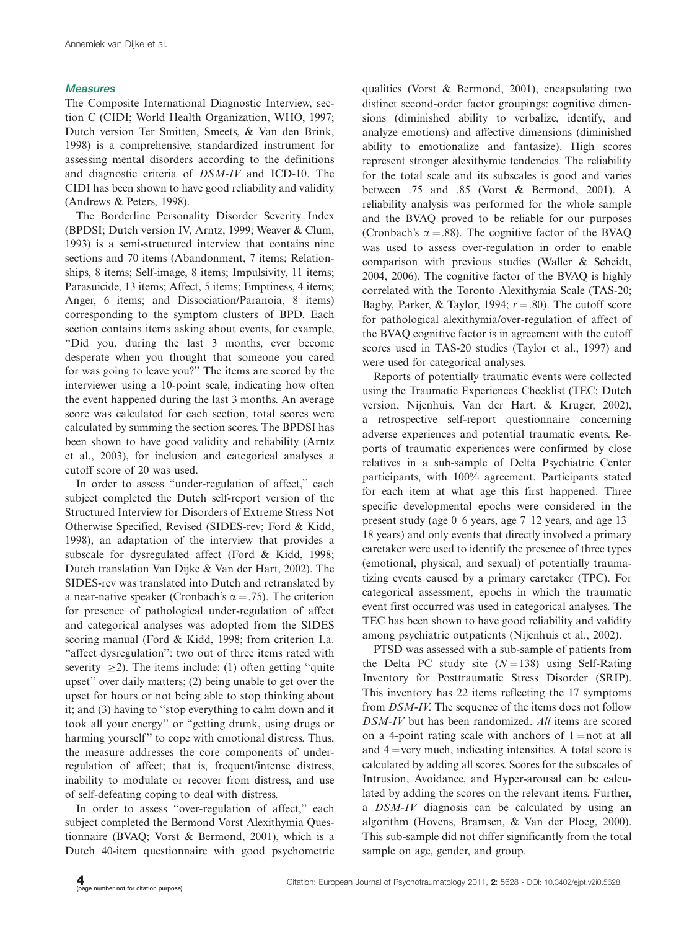# **Measures**

The Composite International Diagnostic Interview, section C (CIDI; World Health Organization, WHO, 1997; Dutch version Ter Smitten, Smeets, & Van den Brink, 1998) is a comprehensive, standardized instrument for assessing mental disorders according to the definitions and diagnostic criteria of DSM-IV and ICD-10. The CIDI has been shown to have good reliability and validity (Andrews & Peters, 1998).

The Borderline Personality Disorder Severity Index (BPDSI; Dutch version IV, Arntz, 1999; Weaver & Clum, 1993) is a semi-structured interview that contains nine sections and 70 items (Abandonment, 7 items; Relationships, 8 items; Self-image, 8 items; Impulsivity, 11 items; Parasuicide, 13 items; Affect, 5 items; Emptiness, 4 items; Anger, 6 items; and Dissociation/Paranoia, 8 items) corresponding to the symptom clusters of BPD. Each section contains items asking about events, for example, ''Did you, during the last 3 months, ever become desperate when you thought that someone you cared for was going to leave you?'' The items are scored by the interviewer using a 10-point scale, indicating how often the event happened during the last 3 months. An average score was calculated for each section, total scores were calculated by summing the section scores. The BPDSI has been shown to have good validity and reliability (Arntz et al., 2003), for inclusion and categorical analyses a cutoff score of 20 was used.

In order to assess ''under-regulation of affect,'' each subject completed the Dutch self-report version of the Structured Interview for Disorders of Extreme Stress Not Otherwise Specified, Revised (SIDES-rev; Ford & Kidd, 1998), an adaptation of the interview that provides a subscale for dysregulated affect (Ford & Kidd, 1998; Dutch translation Van Dijke & Van der Hart, 2002). The SIDES-rev was translated into Dutch and retranslated by a near-native speaker (Cronbach's  $\alpha = .75$ ). The criterion for presence of pathological under-regulation of affect and categorical analyses was adopted from the SIDES scoring manual (Ford & Kidd, 1998; from criterion I.a. "affect dysregulation": two out of three items rated with severity  $\geq$ 2). The items include: (1) often getting "quite upset'' over daily matters; (2) being unable to get over the upset for hours or not being able to stop thinking about it; and (3) having to ''stop everything to calm down and it took all your energy'' or ''getting drunk, using drugs or harming yourself'' to cope with emotional distress. Thus, the measure addresses the core components of underregulation of affect; that is, frequent/intense distress, inability to modulate or recover from distress, and use of self-defeating coping to deal with distress.

In order to assess "over-regulation of affect," each subject completed the Bermond Vorst Alexithymia Questionnaire (BVAQ; Vorst & Bermond, 2001), which is a Dutch 40-item questionnaire with good psychometric qualities (Vorst & Bermond, 2001), encapsulating two distinct second-order factor groupings: cognitive dimensions (diminished ability to verbalize, identify, and analyze emotions) and affective dimensions (diminished ability to emotionalize and fantasize). High scores represent stronger alexithymic tendencies. The reliability for the total scale and its subscales is good and varies between .75 and .85 (Vorst & Bermond, 2001). A reliability analysis was performed for the whole sample and the BVAQ proved to be reliable for our purposes (Cronbach's  $\alpha = .88$ ). The cognitive factor of the BVAQ was used to assess over-regulation in order to enable comparison with previous studies (Waller & Scheidt, 2004, 2006). The cognitive factor of the BVAQ is highly correlated with the Toronto Alexithymia Scale (TAS-20; Bagby, Parker, & Taylor, 1994;  $r = .80$ ). The cutoff score for pathological alexithymia/over-regulation of affect of the BVAQ cognitive factor is in agreement with the cutoff scores used in TAS-20 studies (Taylor et al., 1997) and were used for categorical analyses.

Reports of potentially traumatic events were collected using the Traumatic Experiences Checklist (TEC; Dutch version, Nijenhuis, Van der Hart, & Kruger, 2002), a retrospective self-report questionnaire concerning adverse experiences and potential traumatic events. Reports of traumatic experiences were confirmed by close relatives in a sub-sample of Delta Psychiatric Center participants, with 100% agreement. Participants stated for each item at what age this first happened. Three specific developmental epochs were considered in the present study (age 0-6 years, age 7-12 years, and age 13- 18 years) and only events that directly involved a primary caretaker were used to identify the presence of three types (emotional, physical, and sexual) of potentially traumatizing events caused by a primary caretaker (TPC). For categorical assessment, epochs in which the traumatic event first occurred was used in categorical analyses. The TEC has been shown to have good reliability and validity among psychiatric outpatients (Nijenhuis et al., 2002).

PTSD was assessed with a sub-sample of patients from the Delta PC study site  $(N=138)$  using Self-Rating Inventory for Posttraumatic Stress Disorder (SRIP). This inventory has 22 items reflecting the 17 symptoms from DSM-IV. The sequence of the items does not follow DSM-IV but has been randomized. All items are scored on a 4-point rating scale with anchors of  $1 = not$  at all and  $4 = \text{very much},$  indicating intensities. A total score is calculated by adding all scores. Scores for the subscales of Intrusion, Avoidance, and Hyper-arousal can be calculated by adding the scores on the relevant items. Further, a DSM-IV diagnosis can be calculated by using an algorithm (Hovens, Bramsen, & Van der Ploeg, 2000). This sub-sample did not differ significantly from the total sample on age, gender, and group.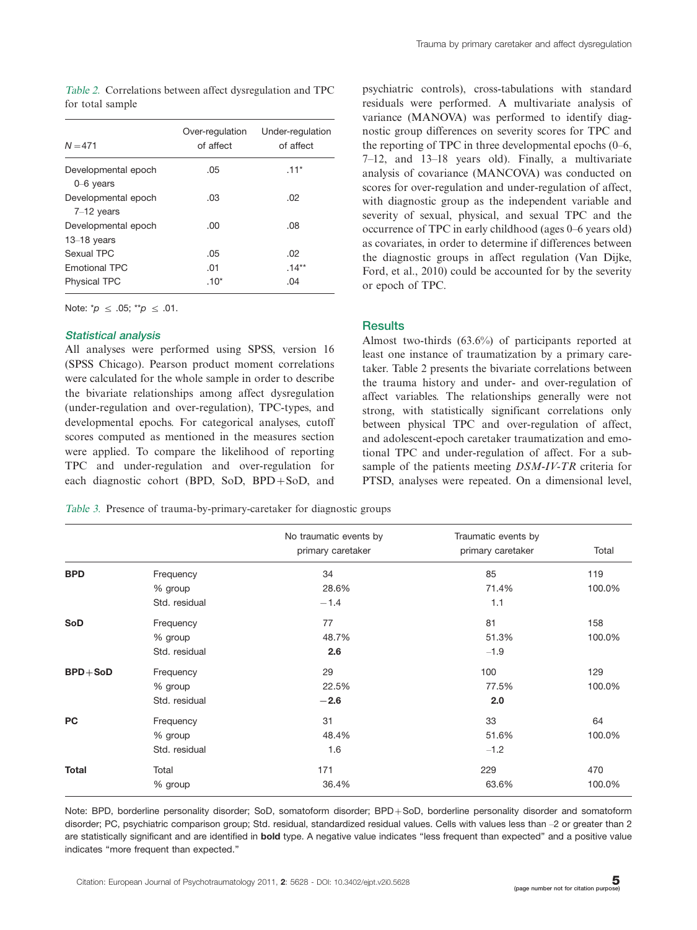| $N = 471$                            | Over-regulation<br>of affect | Under-regulation<br>of affect |
|--------------------------------------|------------------------------|-------------------------------|
| Developmental epoch<br>$0 - 6$ years | .05                          | $.11*$                        |
| Developmental epoch<br>$7-12$ years  | .03                          | .02                           |
| Developmental epoch<br>$13-18$ years | .00                          | .08                           |
| Sexual TPC                           | .05                          | .02                           |
| <b>Emotional TPC</b>                 | .01                          | $.14***$                      |
| <b>Physical TPC</b>                  | $.10*$                       | .04                           |

Table <sup>2</sup>. Correlations between affect dysregulation and TPC for total sample

Note:  $np \le .05$ ; \*\*p  $\le .01$ .

#### Statistical analysis

All analyses were performed using SPSS, version 16 (SPSS Chicago). Pearson product moment correlations were calculated for the whole sample in order to describe the bivariate relationships among affect dysregulation (under-regulation and over-regulation), TPC-types, and developmental epochs. For categorical analyses, cutoff scores computed as mentioned in the measures section were applied. To compare the likelihood of reporting TPC and under-regulation and over-regulation for each diagnostic cohort (BPD, SoD, BPD+SoD, and psychiatric controls), cross-tabulations with standard residuals were performed. A multivariate analysis of variance (MANOVA) was performed to identify diagnostic group differences on severity scores for TPC and the reporting of TPC in three developmental epochs (0-6, 7-12, and 13-18 years old). Finally, a multivariate analysis of covariance (MANCOVA) was conducted on scores for over-regulation and under-regulation of affect, with diagnostic group as the independent variable and severity of sexual, physical, and sexual TPC and the occurrence of TPC in early childhood (ages 0-6 years old) as covariates, in order to determine if differences between the diagnostic groups in affect regulation (Van Dijke, Ford, et al., 2010) could be accounted for by the severity or epoch of TPC.

# **Results**

Almost two-thirds (63.6%) of participants reported at least one instance of traumatization by a primary caretaker. Table 2 presents the bivariate correlations between the trauma history and under- and over-regulation of affect variables. The relationships generally were not strong, with statistically significant correlations only between physical TPC and over-regulation of affect, and adolescent-epoch caretaker traumatization and emotional TPC and under-regulation of affect. For a subsample of the patients meeting DSM-IV-TR criteria for PTSD, analyses were repeated. On a dimensional level,

Table 3. Presence of trauma-by-primary-caretaker for diagnostic groups

|              |               | No traumatic events by<br>primary caretaker | Traumatic events by<br>primary caretaker | Total  |
|--------------|---------------|---------------------------------------------|------------------------------------------|--------|
| <b>BPD</b>   | Frequency     | 34                                          | 85                                       | 119    |
|              | % group       | 28.6%                                       | 71.4%                                    | 100.0% |
|              | Std. residual | $-1.4$                                      | 1.1                                      |        |
| SoD          | Frequency     | 77                                          | 81                                       | 158    |
|              | % group       | 48.7%                                       | 51.3%                                    | 100.0% |
|              | Std. residual | 2.6                                         | $-1.9$                                   |        |
| $BPD + Sob$  | Frequency     | 29                                          | 100                                      | 129    |
|              | % group       | 22.5%                                       | 77.5%                                    | 100.0% |
|              | Std. residual | $-2.6$                                      | 2.0                                      |        |
| <b>PC</b>    | Frequency     | 31                                          | 33                                       | 64     |
|              | % group       | 48.4%                                       | 51.6%                                    | 100.0% |
|              | Std. residual | 1.6                                         | $-1.2$                                   |        |
| <b>Total</b> | Total         | 171                                         | 229                                      | 470    |
|              | % group       | 36.4%                                       | 63.6%                                    | 100.0% |

Note: BPD, borderline personality disorder; SoD, somatoform disorder; BPD+SoD, borderline personality disorder and somatoform disorder; PC, psychiatric comparison group; Std. residual, standardized residual values. Cells with values less than -2 or greater than 2 are statistically significant and are identified in **bold** type. A negative value indicates "less frequent than expected" and a positive value indicates ''more frequent than expected.''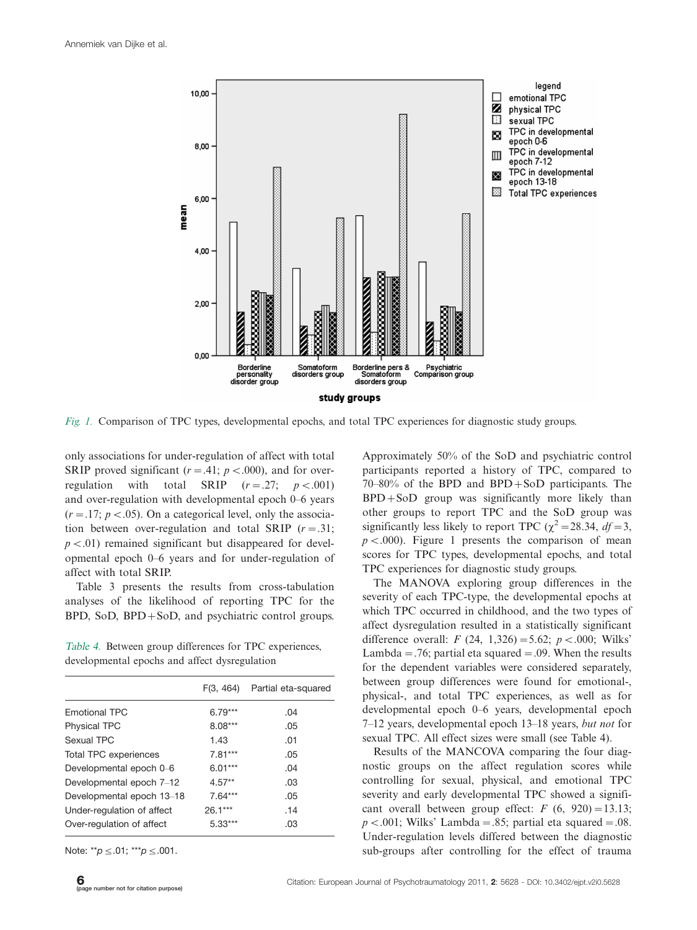

Fig. 1. Comparison of TPC types, developmental epochs, and total TPC experiences for diagnostic study groups.

only associations for under-regulation of affect with total SRIP proved significant ( $r = .41$ ;  $p < .000$ ), and for overregulation with total SRIP  $(r=.27; p<.001)$ and over-regulation with developmental epoch 0-6 years  $(r=.17; p<.05)$ . On a categorical level, only the association between over-regulation and total SRIP  $(r=.31;$  $p < .01$ ) remained significant but disappeared for developmental epoch 0-6 years and for under-regulation of affect with total SRIP.

Table 3 presents the results from cross-tabulation analyses of the likelihood of reporting TPC for the BPD, SoD,  $BPD + SoD$ , and psychiatric control groups.

Table <sup>4</sup>. Between group differences for TPC experiences, developmental epochs and affect dysregulation

|                            | F(3, 464) | Partial eta-squared |
|----------------------------|-----------|---------------------|
| <b>Emotional TPC</b>       | $6.79***$ | .04                 |
| Physical TPC               | $8.08***$ | .05                 |
| Sexual TPC                 | 1.43      | .01                 |
| Total TPC experiences      | $7.81***$ | .05                 |
| Developmental epoch 0-6    | $6.01***$ | .04                 |
| Developmental epoch 7-12   | $4.57**$  | .03                 |
| Developmental epoch 13-18  | $7.64***$ | .05                 |
| Under-regulation of affect | $26.1***$ | .14                 |
| Over-regulation of affect  | $5.33***$ | .03                 |

Note:  $*^{*}p \le .01$ ;  $**^{*}p \le .001$ .

Approximately 50% of the SoD and psychiatric control participants reported a history of TPC, compared to  $70-80\%$  of the BPD and BPD+SoD participants. The  $BPD + SoD$  group was significantly more likely than other groups to report TPC and the SoD group was significantly less likely to report TPC ( $\chi^2$  = 28.34, *df* = 3,  $p < .000$ ). Figure 1 presents the comparison of mean scores for TPC types, developmental epochs, and total TPC experiences for diagnostic study groups.

The MANOVA exploring group differences in the severity of each TPC-type, the developmental epochs at which TPC occurred in childhood, and the two types of affect dysregulation resulted in a statistically significant difference overall:  $F(24, 1,326) = 5.62$ ;  $p < .000$ ; Wilks' Lambda = .76; partial eta squared = .09. When the results for the dependent variables were considered separately, between group differences were found for emotional-, physical-, and total TPC experiences, as well as for developmental epoch 0-6 years, developmental epoch 7-12 years, developmental epoch 13-18 years, but not for sexual TPC. All effect sizes were small (see Table 4).

Results of the MANCOVA comparing the four diagnostic groups on the affect regulation scores while controlling for sexual, physical, and emotional TPC severity and early developmental TPC showed a significant overall between group effect:  $F(6, 920) = 13.13$ ;  $p < .001$ ; Wilks' Lambda = .85; partial eta squared = .08. Under-regulation levels differed between the diagnostic sub-groups after controlling for the effect of trauma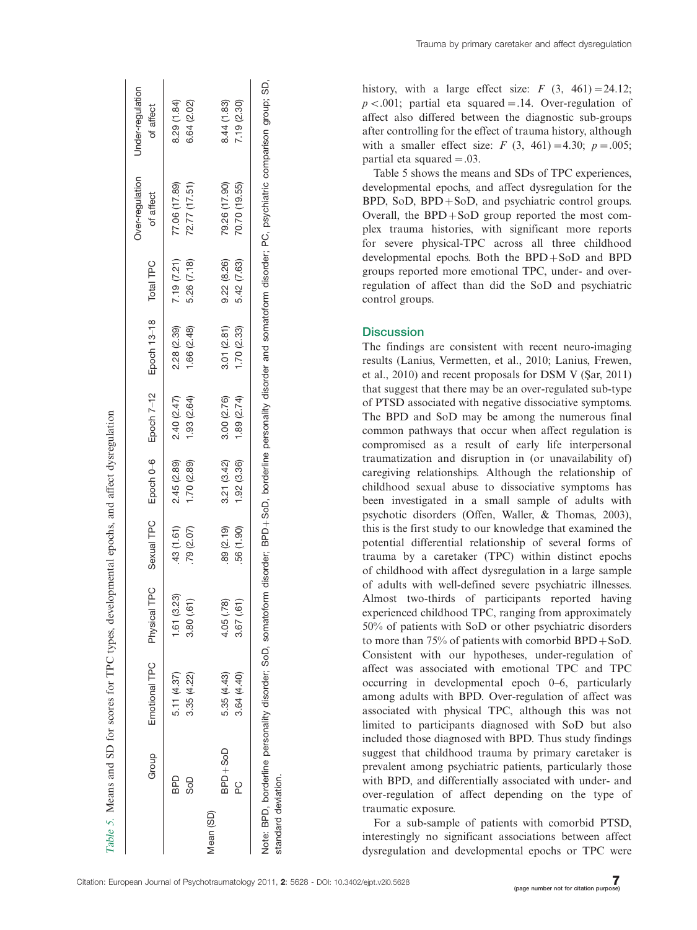|           | Group      | Emotional TPC Physical | TPC<br>L    |               |             |             | Sexual TPC Epoch 0-6 Epoch 7-12 Epoch 13-18 Total TPC |             | Over-regulation<br>of affect | Under-regulation<br>of affect |
|-----------|------------|------------------------|-------------|---------------|-------------|-------------|-------------------------------------------------------|-------------|------------------------------|-------------------------------|
|           | <b>GdB</b> | 5.11(4.37)             | 1.61 (3.23) | 43 (1.61)     | 2.45 (2.89) | 2.40 (2.47) | 2.28 (2.39)                                           | 7.19 (7.21) | 77.06 (17.89)                | 8.29(1.84)                    |
|           | SoD        | 3.35(4.22)             | 3.80 (.61)  | .79(2.07)     | 1.70 (2.89) | 1.93(2.64)  | 1.66(2.48)                                            | 5.26 (7.18) | 72.77 (17.51)                | 6.64 (2.02)                   |
| Mean (SD) |            |                        |             |               |             |             |                                                       |             |                              |                               |
|           | $BPD+SoD$  | 5.35 (4.43)            | 4.05 (.78)  | .89(2.19)     | 3.21 (3.42) | 3.00 (2.76) | 3.01(2.81)                                            | 9.22 (8.26) | 79.26 (17.90)                | 8.44(1.83)                    |
|           | 2<br>D     | 3.64 (4.40)            | 3.67 (.61   | (0.96, 1, 56) | 1.92 (3.36) | 1.89(2.74)  | 1.70(2.33)                                            | 5.42 (7.63) | 70.70 (19.55)                | 7.19 (2.30)                   |

Trauma by primary caretaker and affect dysregulation

history, with a large effect size:  $F(3, 461) = 24.12$ ;  $p < .001$ ; partial eta squared = 14. Over-regulation of affect also differed between the diagnostic sub-groups after controlling for the effect of trauma history, although with a smaller effect size:  $F(3, 461) = 4.30; p = .005;$ partial eta squared $=$ .03.

Table 5 shows the means and SDs of TPC experiences, developmental epochs, and affect dysregulation for the  $BPD$ , SoD,  $BPD + SoD$ , and psychiatric control groups. Overall, the  $BPD + SoD$  group reported the most complex trauma histories, with significant more reports for severe physical-TPC across all three childhood developmental epochs. Both the  $BPD + SoD$  and  $BPD$ groups reported more emotional TPC, under- and overregulation of affect than did the SoD and psychiatric control groups.

# **Discussion**

The findings are consistent with recent neuro-imaging results (Lanius, Vermetten, et al., 2010; Lanius, Frewen, et al.,  $2010$ ) and recent proposals for DSM V (Sar,  $2011$ ) that suggest that there may be an over-regulated sub-type of PTSD associated with negative dissociative symptoms. The BPD and SoD may be among the numerous final common pathways that occur when affect regulation is compromised as a result of early life interpersonal traumatization and disruption in (or unavailability of) caregiving relationships. Although the relationship of childhood sexual abuse to dissociative symptoms has been investigated in a small sample of adults with psychotic disorders (Offen, Waller, & Thomas, 2003), this is the first study to our knowledge that examined the potential differential relationship of several forms of trauma by a caretaker (TPC) within distinct epochs of childhood with affect dysregulation in a large sample of adults with well-defined severe psychiatric illnesses. Almost two-thirds of participants reported having experienced childhood TPC, ranging from approximately 50% of patients with SoD or other psychiatric disorders to more than  $75\%$  of patients with comorbid BPD+SoD. Consistent with our hypotheses, under-regulation of affect was associated with emotional TPC and TPC occurring in developmental epoch 0-6, particularly among adults with BPD. Over-regulation of affect was associated with physical TPC, although this was not limited to participants diagnosed with SoD but also included those diagnosed with BPD. Thus study findings suggest that childhood trauma by primary caretaker is prevalent among psychiatric patients, particularly those with BPD, and differentially associated with under- and over-regulation of affect depending on the type of traumatic exposure.

For a sub-sample of patients with comorbid PTSD, interestingly no significant associations between affect dysregulation and developmental epochs or TPC were

standard deviation.

standard deviation.

Table 5 .

Means and SD for scores for TPC types, developmental epochs, and affect dysregulation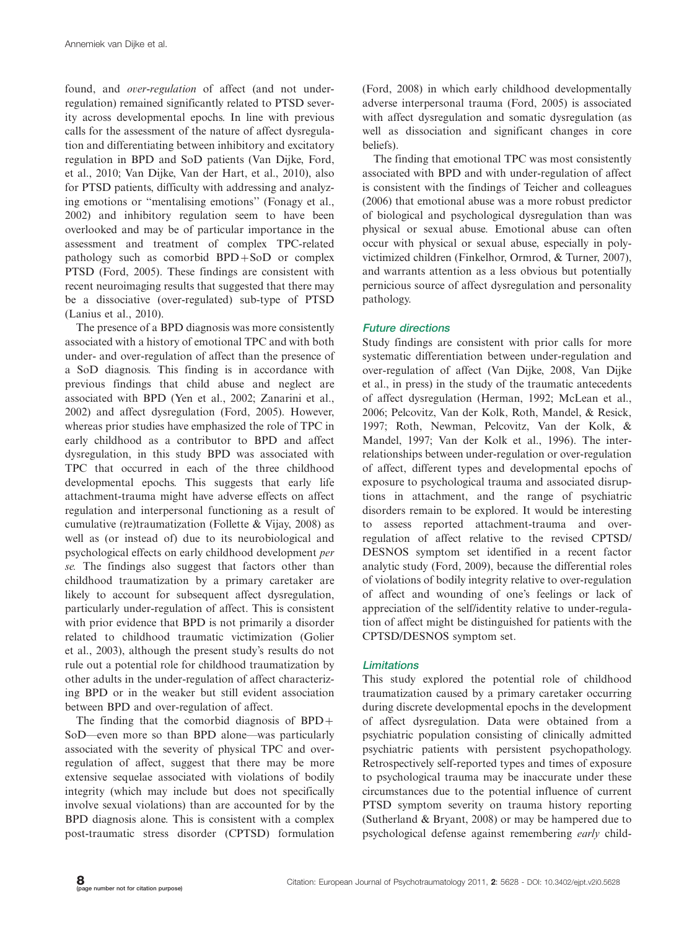found, and over-regulation of affect (and not underregulation) remained significantly related to PTSD severity across developmental epochs. In line with previous calls for the assessment of the nature of affect dysregulation and differentiating between inhibitory and excitatory regulation in BPD and SoD patients (Van Dijke, Ford, et al., 2010; Van Dijke, Van der Hart, et al., 2010), also for PTSD patients, difficulty with addressing and analyzing emotions or ''mentalising emotions'' (Fonagy et al., 2002) and inhibitory regulation seem to have been overlooked and may be of particular importance in the assessment and treatment of complex TPC-related pathology such as comorbid  $BPD + SoD$  or complex PTSD (Ford, 2005). These findings are consistent with recent neuroimaging results that suggested that there may be a dissociative (over-regulated) sub-type of PTSD (Lanius et al., 2010).

The presence of a BPD diagnosis was more consistently associated with a history of emotional TPC and with both under- and over-regulation of affect than the presence of a SoD diagnosis. This finding is in accordance with previous findings that child abuse and neglect are associated with BPD (Yen et al., 2002; Zanarini et al., 2002) and affect dysregulation (Ford, 2005). However, whereas prior studies have emphasized the role of TPC in early childhood as a contributor to BPD and affect dysregulation, in this study BPD was associated with TPC that occurred in each of the three childhood developmental epochs. This suggests that early life attachment-trauma might have adverse effects on affect regulation and interpersonal functioning as a result of cumulative (re)traumatization (Follette & Vijay, 2008) as well as (or instead of) due to its neurobiological and psychological effects on early childhood development per se. The findings also suggest that factors other than childhood traumatization by a primary caretaker are likely to account for subsequent affect dysregulation, particularly under-regulation of affect. This is consistent with prior evidence that BPD is not primarily a disorder related to childhood traumatic victimization (Golier et al., 2003), although the present study's results do not rule out a potential role for childhood traumatization by other adults in the under-regulation of affect characterizing BPD or in the weaker but still evident association between BPD and over-regulation of affect.

The finding that the comorbid diagnosis of  $BPD+$ SoD—even more so than BPD alone—was particularly associated with the severity of physical TPC and overregulation of affect, suggest that there may be more extensive sequelae associated with violations of bodily integrity (which may include but does not specifically involve sexual violations) than are accounted for by the BPD diagnosis alone. This is consistent with a complex post-traumatic stress disorder (CPTSD) formulation

(Ford, 2008) in which early childhood developmentally adverse interpersonal trauma (Ford, 2005) is associated with affect dysregulation and somatic dysregulation (as well as dissociation and significant changes in core beliefs).

The finding that emotional TPC was most consistently associated with BPD and with under-regulation of affect is consistent with the findings of Teicher and colleagues (2006) that emotional abuse was a more robust predictor of biological and psychological dysregulation than was physical or sexual abuse. Emotional abuse can often occur with physical or sexual abuse, especially in polyvictimized children (Finkelhor, Ormrod, & Turner, 2007), and warrants attention as a less obvious but potentially pernicious source of affect dysregulation and personality pathology.

# Future directions

Study findings are consistent with prior calls for more systematic differentiation between under-regulation and over-regulation of affect (Van Dijke, 2008, Van Dijke et al., in press) in the study of the traumatic antecedents of affect dysregulation (Herman, 1992; McLean et al., 2006; Pelcovitz, Van der Kolk, Roth, Mandel, & Resick, 1997; Roth, Newman, Pelcovitz, Van der Kolk, & Mandel, 1997; Van der Kolk et al., 1996). The interrelationships between under-regulation or over-regulation of affect, different types and developmental epochs of exposure to psychological trauma and associated disruptions in attachment, and the range of psychiatric disorders remain to be explored. It would be interesting to assess reported attachment-trauma and overregulation of affect relative to the revised CPTSD/ DESNOS symptom set identified in a recent factor analytic study (Ford, 2009), because the differential roles of violations of bodily integrity relative to over-regulation of affect and wounding of one's feelings or lack of appreciation of the self/identity relative to under-regulation of affect might be distinguished for patients with the CPTSD/DESNOS symptom set.

## **Limitations**

This study explored the potential role of childhood traumatization caused by a primary caretaker occurring during discrete developmental epochs in the development of affect dysregulation. Data were obtained from a psychiatric population consisting of clinically admitted psychiatric patients with persistent psychopathology. Retrospectively self-reported types and times of exposure to psychological trauma may be inaccurate under these circumstances due to the potential influence of current PTSD symptom severity on trauma history reporting (Sutherland & Bryant, 2008) or may be hampered due to psychological defense against remembering early child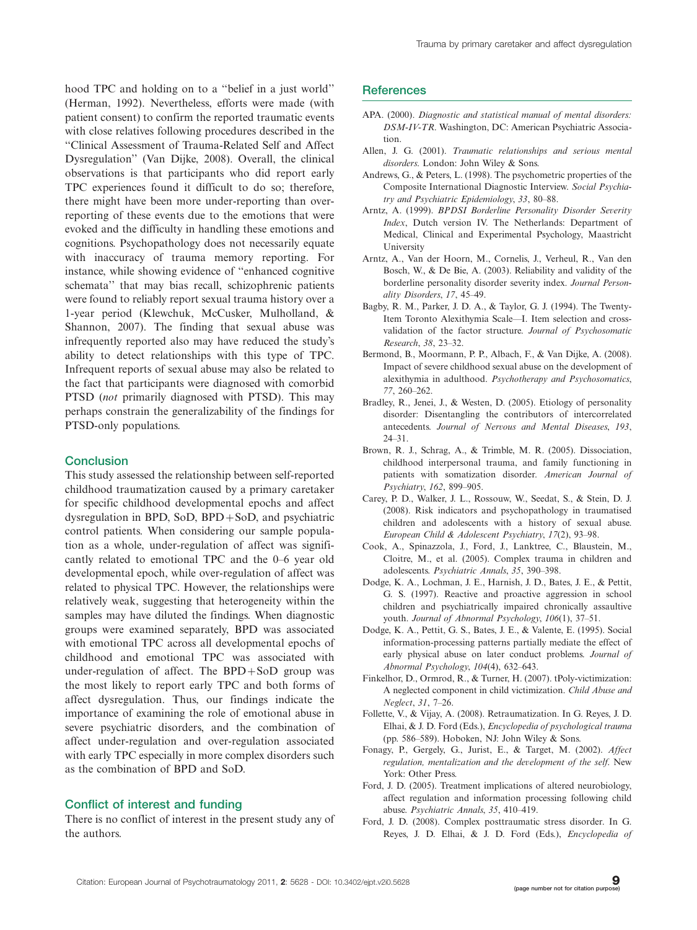hood TPC and holding on to a ''belief in a just world'' (Herman, 1992). Nevertheless, efforts were made (with patient consent) to confirm the reported traumatic events with close relatives following procedures described in the ''Clinical Assessment of Trauma-Related Self and Affect Dysregulation'' (Van Dijke, 2008). Overall, the clinical observations is that participants who did report early TPC experiences found it difficult to do so; therefore, there might have been more under-reporting than overreporting of these events due to the emotions that were evoked and the difficulty in handling these emotions and cognitions. Psychopathology does not necessarily equate with inaccuracy of trauma memory reporting. For instance, while showing evidence of ''enhanced cognitive schemata'' that may bias recall, schizophrenic patients were found to reliably report sexual trauma history over a 1-year period (Klewchuk, McCusker, Mulholland, & Shannon, 2007). The finding that sexual abuse was infrequently reported also may have reduced the study's ability to detect relationships with this type of TPC. Infrequent reports of sexual abuse may also be related to the fact that participants were diagnosed with comorbid PTSD (not primarily diagnosed with PTSD). This may perhaps constrain the generalizability of the findings for PTSD-only populations.

## **Conclusion**

This study assessed the relationship between self-reported childhood traumatization caused by a primary caretaker for specific childhood developmental epochs and affect dysregulation in BPD, SoD,  $BPD + SoD$ , and psychiatric control patients. When considering our sample population as a whole, under-regulation of affect was significantly related to emotional TPC and the 0-6 year old developmental epoch, while over-regulation of affect was related to physical TPC. However, the relationships were relatively weak, suggesting that heterogeneity within the samples may have diluted the findings. When diagnostic groups were examined separately, BPD was associated with emotional TPC across all developmental epochs of childhood and emotional TPC was associated with under-regulation of affect. The  $BPD + SoD$  group was the most likely to report early TPC and both forms of affect dysregulation. Thus, our findings indicate the importance of examining the role of emotional abuse in severe psychiatric disorders, and the combination of affect under-regulation and over-regulation associated with early TPC especially in more complex disorders such as the combination of BPD and SoD.

# Conflict of interest and funding

There is no conflict of interest in the present study any of the authors.

## **References**

- APA. (2000). *Diagnostic and statistical manual of mental disorders:* DSM-IV-TR. Washington, DC: American Psychiatric Association.
- Allen, J. G. (2001). Traumatic relationships and serious mental disorders. London: John Wiley & Sons.
- Andrews, G., & Peters, L. (1998). The psychometric properties of the Composite International Diagnostic Interview. Social Psychiatry and Psychiatric Epidemiology, 33, 80-88.
- Arntz, A. (1999). BPDSI Borderline Personality Disorder Severity Index, Dutch version IV. The Netherlands: Department of Medical, Clinical and Experimental Psychology, Maastricht University
- Arntz, A., Van der Hoorn, M., Cornelis, J., Verheul, R., Van den Bosch, W., & De Bie, A. (2003). Reliability and validity of the borderline personality disorder severity index. Journal Personality Disorders, 17, 45-49.
- Bagby, R. M., Parker, J. D. A., & Taylor, G. J. (1994). The Twenty-Item Toronto Alexithymia Scale-I. Item selection and crossvalidation of the factor structure. Journal of Psychosomatic Research, 38, 23-32.
- Bermond, B., Moormann, P. P., Albach, F., & Van Dijke, A. (2008). Impact of severe childhood sexual abuse on the development of alexithymia in adulthood. Psychotherapy and Psychosomatics, 77, 260-262.
- Bradley, R., Jenei, J., & Westen, D. (2005). Etiology of personality disorder: Disentangling the contributors of intercorrelated antecedents. Journal of Nervous and Mental Diseases, 193, 24-31.
- Brown, R. J., Schrag, A., & Trimble, M. R. (2005). Dissociation, childhood interpersonal trauma, and family functioning in patients with somatization disorder. American Journal of Psychiatry, 162, 899-905.
- Carey, P. D., Walker, J. L., Rossouw, W., Seedat, S., & Stein, D. J. (2008). Risk indicators and psychopathology in traumatised children and adolescents with a history of sexual abuse. European Child & Adolescent Psychiatry, 17(2), 93-98.
- Cook, A., Spinazzola, J., Ford, J., Lanktree, C., Blaustein, M., Cloitre, M., et al. (2005). Complex trauma in children and adolescents. Psychiatric Annals, 35, 390-398.
- Dodge, K. A., Lochman, J. E., Harnish, J. D., Bates, J. E., & Pettit, G. S. (1997). Reactive and proactive aggression in school children and psychiatrically impaired chronically assaultive youth. Journal of Abnormal Psychology, 106(1), 37-51.
- Dodge, K. A., Pettit, G. S., Bates, J. E., & Valente, E. (1995). Social information-processing patterns partially mediate the effect of early physical abuse on later conduct problems. Journal of Abnormal Psychology, 104(4), 632-643.
- Finkelhor, D., Ormrod, R., & Turner, H. (2007). tPoly-victimization: A neglected component in child victimization. Child Abuse and Neglect, 31, 7-26.
- Follette, V., & Vijay, A. (2008). Retraumatization. In G. Reyes, J. D. Elhai, & J. D. Ford (Eds.), Encyclopedia of psychological trauma (pp. 586-589). Hoboken, NJ: John Wiley & Sons.
- Fonagy, P., Gergely, G., Jurist, E., & Target, M. (2002). Affect regulation, mentalization and the development of the self. New York: Other Press.
- Ford, J. D. (2005). Treatment implications of altered neurobiology, affect regulation and information processing following child abuse. Psychiatric Annals, 35, 410-419.
- Ford, J. D. (2008). Complex posttraumatic stress disorder. In G. Reyes, J. D. Elhai, & J. D. Ford (Eds.), Encyclopedia of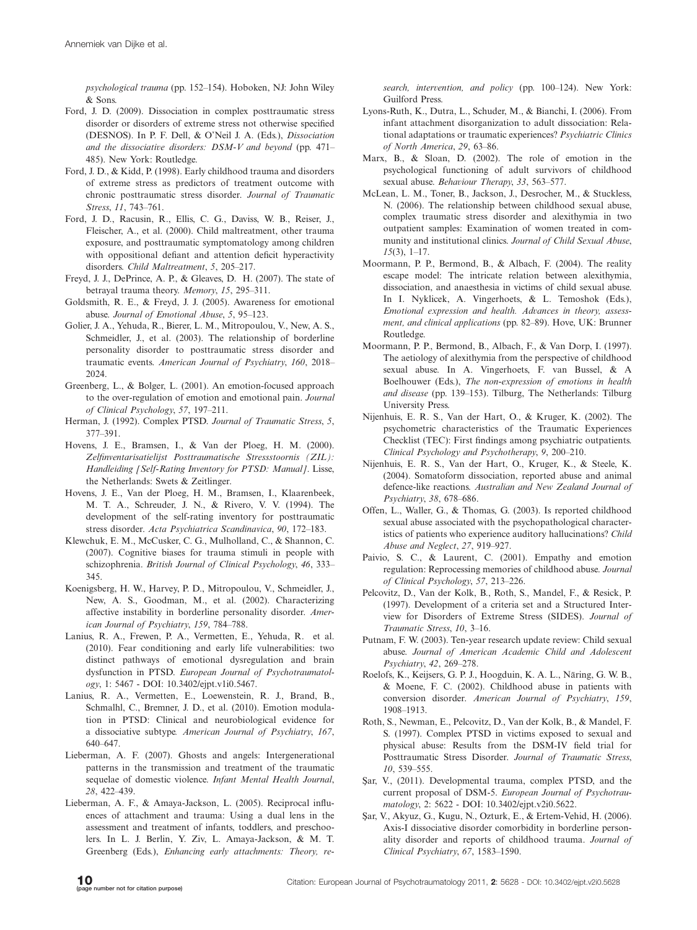psychological trauma (pp. 152-154). Hoboken, NJ: John Wiley & Sons.

- Ford, J. D. (2009). Dissociation in complex posttraumatic stress disorder or disorders of extreme stress not otherwise specified (DESNOS). In P. F. Dell, & O'Neil J. A. (Eds.), Dissociation and the dissociative disorders: DSM-V and beyond (pp. 471- 485). New York: Routledge.
- Ford, J. D., & Kidd, P. (1998). Early childhood trauma and disorders of extreme stress as predictors of treatment outcome with chronic posttraumatic stress disorder. Journal of Traumatic Stress, 11, 743-761.
- Ford, J. D., Racusin, R., Ellis, C. G., Daviss, W. B., Reiser, J., Fleischer, A., et al. (2000). Child maltreatment, other trauma exposure, and posttraumatic symptomatology among children with oppositional defiant and attention deficit hyperactivity disorders. Child Maltreatment, 5, 205-217.
- Freyd, J. J., DePrince, A. P., & Gleaves, D. H. (2007). The state of betrayal trauma theory. Memory, 15, 295-311.
- Goldsmith, R. E., & Freyd, J. J. (2005). Awareness for emotional abuse. Journal of Emotional Abuse, 5, 95-123.
- Golier, J. A., Yehuda, R., Bierer, L. M., Mitropoulou, V., New, A. S., Schmeidler, J., et al. (2003). The relationship of borderline personality disorder to posttraumatic stress disorder and traumatic events. American Journal of Psychiatry, 160, 2018- 2024.
- Greenberg, L., & Bolger, L. (2001). An emotion-focused approach to the over-regulation of emotion and emotional pain. Journal of Clinical Psychology, 57, 197-211.
- Herman, J. (1992). Complex PTSD. Journal of Traumatic Stress, 5, 377-391.
- Hovens, J. E., Bramsen, I., & Van der Ploeg, H. M. (2000). Zelfinventarisatielijst Posttraumatische Stressstoornis (ZIL): Handleiding [Self-Rating Inventory for PTSD: Manual]. Lisse, the Netherlands: Swets & Zeitlinger.
- Hovens, J. E., Van der Ploeg, H. M., Bramsen, I., Klaarenbeek, M. T. A., Schreuder, J. N., & Rivero, V. V. (1994). The development of the self-rating inventory for posttraumatic stress disorder. Acta Psychiatrica Scandinavica, 90, 172-183.
- Klewchuk, E. M., McCusker, C. G., Mulholland, C., & Shannon, C. (2007). Cognitive biases for trauma stimuli in people with schizophrenia. British Journal of Clinical Psychology, 46, 333-345.
- Koenigsberg, H. W., Harvey, P. D., Mitropoulou, V., Schmeidler, J., New, A. S., Goodman, M., et al. (2002). Characterizing affective instability in borderline personality disorder. American Journal of Psychiatry, 159, 784-788.
- Lanius, R. A., Frewen, P. A., Vermetten, E., Yehuda, R. et al. (2010). Fear conditioning and early life vulnerabilities: two distinct pathways of emotional dysregulation and brain dysfunction in PTSD. European Journal of Psychotraumatology, 1: 5467 - DOI: 10.3402/ejpt.v1i0.5467.
- Lanius, R. A., Vermetten, E., Loewenstein, R. J., Brand, B., Schmalhl, C., Bremner, J. D., et al. (2010). Emotion modulation in PTSD: Clinical and neurobiological evidence for a dissociative subtype. American Journal of Psychiatry, 167, 640-647.
- Lieberman, A. F. (2007). Ghosts and angels: Intergenerational patterns in the transmission and treatment of the traumatic sequelae of domestic violence. Infant Mental Health Journal, 28, 422-439.
- Lieberman, A. F., & Amaya-Jackson, L. (2005). Reciprocal influences of attachment and trauma: Using a dual lens in the assessment and treatment of infants, toddlers, and preschoolers. In L. J. Berlin, Y. Ziv, L. Amaya-Jackson, & M. T. Greenberg (Eds.), Enhancing early attachments: Theory, re-

search, intervention, and policy (pp. 100-124). New York: Guilford Press.

- Lyons-Ruth, K., Dutra, L., Schuder, M., & Bianchi, I. (2006). From infant attachment disorganization to adult dissociation: Relational adaptations or traumatic experiences? Psychiatric Clinics of North America, 29, 63-86.
- Marx, B., & Sloan, D. (2002). The role of emotion in the psychological functioning of adult survivors of childhood sexual abuse. Behaviour Therapy, 33, 563-577.
- McLean, L. M., Toner, B., Jackson, J., Desrocher, M., & Stuckless, N. (2006). The relationship between childhood sexual abuse, complex traumatic stress disorder and alexithymia in two outpatient samples: Examination of women treated in community and institutional clinics. Journal of Child Sexual Abuse,  $15(3), 1-17.$
- Moormann, P. P., Bermond, B., & Albach, F. (2004). The reality escape model: The intricate relation between alexithymia, dissociation, and anaesthesia in victims of child sexual abuse. In I. Nyklicek, A. Vingerhoets, & L. Temoshok (Eds.), Emotional expression and health. Advances in theory, assessment, and clinical applications (pp. 82-89). Hove, UK: Brunner Routledge.
- Moormann, P. P., Bermond, B., Albach, F., & Van Dorp, I. (1997). The aetiology of alexithymia from the perspective of childhood sexual abuse. In A. Vingerhoets, F. van Bussel, & A Boelhouwer (Eds.), The non-expression of emotions in health and disease (pp. 139–153). Tilburg, The Netherlands: Tilburg University Press.
- Nijenhuis, E. R. S., Van der Hart, O., & Kruger, K. (2002). The psychometric characteristics of the Traumatic Experiences Checklist (TEC): First findings among psychiatric outpatients. Clinical Psychology and Psychotherapy, 9, 200-210.
- Nijenhuis, E. R. S., Van der Hart, O., Kruger, K., & Steele, K. (2004). Somatoform dissociation, reported abuse and animal defence-like reactions. Australian and New Zealand Journal of Psychiatry, 38, 678-686.
- Offen, L., Waller, G., & Thomas, G. (2003). Is reported childhood sexual abuse associated with the psychopathological characteristics of patients who experience auditory hallucinations? Child Abuse and Neglect, 27, 919-927.
- Paivio, S. C., & Laurent, C. (2001). Empathy and emotion regulation: Reprocessing memories of childhood abuse. Journal of Clinical Psychology, 57, 213-226.
- Pelcovitz, D., Van der Kolk, B., Roth, S., Mandel, F., & Resick, P. (1997). Development of a criteria set and a Structured Interview for Disorders of Extreme Stress (SIDES). Journal of Traumatic Stress, 10, 3-16.
- Putnam, F. W. (2003). Ten-year research update review: Child sexual abuse. Journal of American Academic Child and Adolescent Psychiatry, 42, 269-278.
- Roelofs, K., Keijsers, G. P. J., Hoogduin, K. A. L., Näring, G. W. B., & Moene, F. C. (2002). Childhood abuse in patients with conversion disorder. American Journal of Psychiatry, 159, 1908-1913.
- Roth, S., Newman, E., Pelcovitz, D., Van der Kolk, B., & Mandel, F. S. (1997). Complex PTSD in victims exposed to sexual and physical abuse: Results from the DSM-IV field trial for Posttraumatic Stress Disorder. Journal of Traumatic Stress, 10, 539-555.
- Sar, V., (2011). Developmental trauma, complex PTSD, and the current proposal of DSM-5. European Journal of Psychotraumatology, 2: 5622 - DOI: 10.3402/ejpt.v2i0.5622.
- Şar, V., Akyuz, G., Kugu, N., Ozturk, E., & Ertem-Vehid, H. (2006). Axis-I dissociative disorder comorbidity in borderline personality disorder and reports of childhood trauma. Journal of Clinical Psychiatry, 67, 1583-1590.